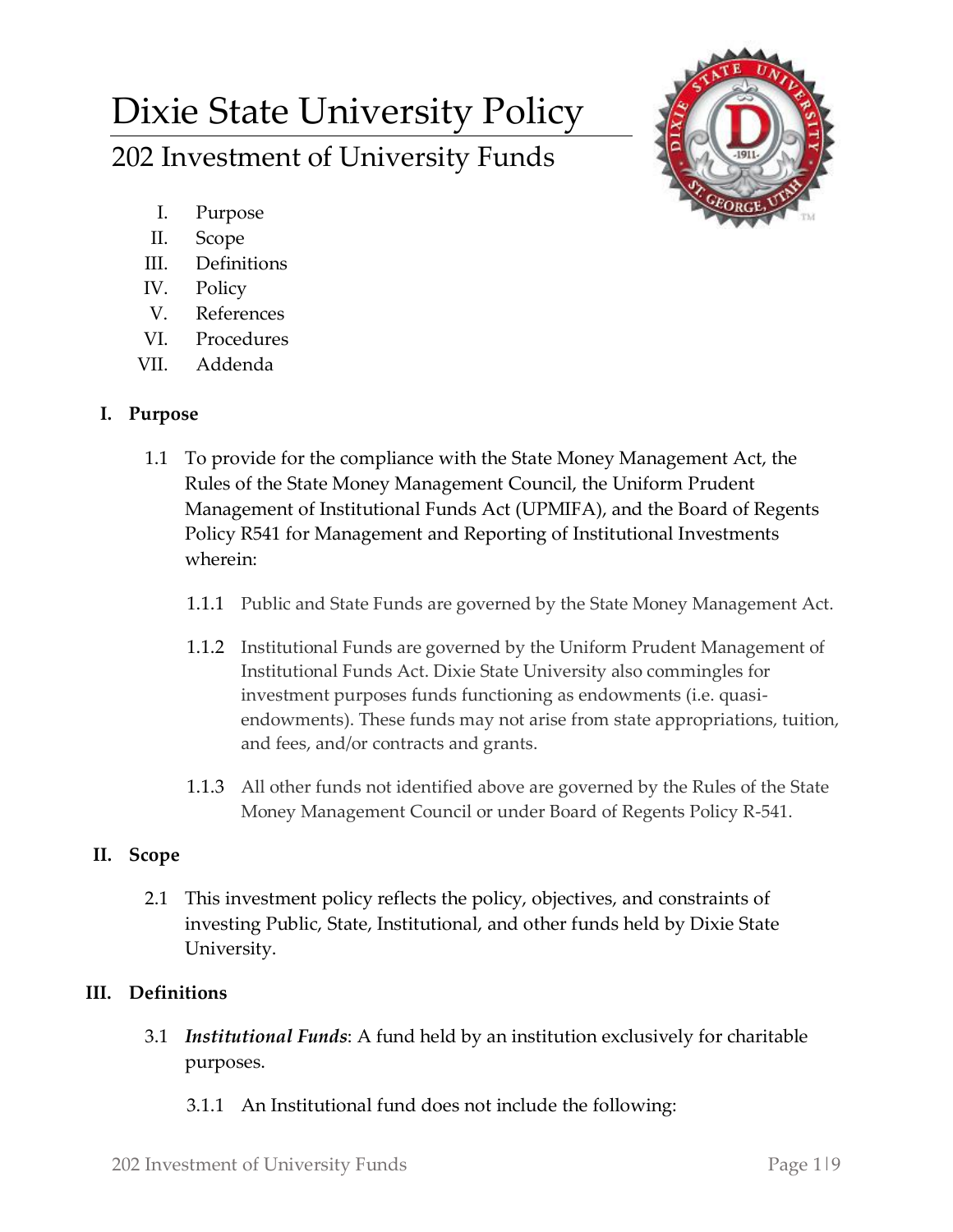# Dixie State University Policy 202 Investment of University Funds



- I. Purpose
- II. Scope
- III. Definitions
- IV. Policy
- V. References
- VI. Procedures
- VII. Addenda

## **I. Purpose**

- 1.1 To provide for the compliance with the State Money Management Act, the Rules of the State Money Management Council, the Uniform Prudent Management of Institutional Funds Act (UPMIFA), and the Board of Regents Policy R541 for Management and Reporting of Institutional Investments wherein:
	- 1.1.1 Public and State Funds are governed by the State Money Management Act.
	- 1.1.2 Institutional Funds are governed by the Uniform Prudent Management of Institutional Funds Act. Dixie State University also commingles for investment purposes funds functioning as endowments (i.e. quasiendowments). These funds may not arise from state appropriations, tuition, and fees, and/or contracts and grants.
	- 1.1.3 All other funds not identified above are governed by the Rules of the State Money Management Council or under Board of Regents Policy R-541.

# **II. Scope**

2.1 This investment policy reflects the policy, objectives, and constraints of investing Public, State, Institutional, and other funds held by Dixie State University.

# **III. Definitions**

- 3.1 *Institutional Funds*: A fund held by an institution exclusively for charitable purposes.
	- 3.1.1 An Institutional fund does not include the following: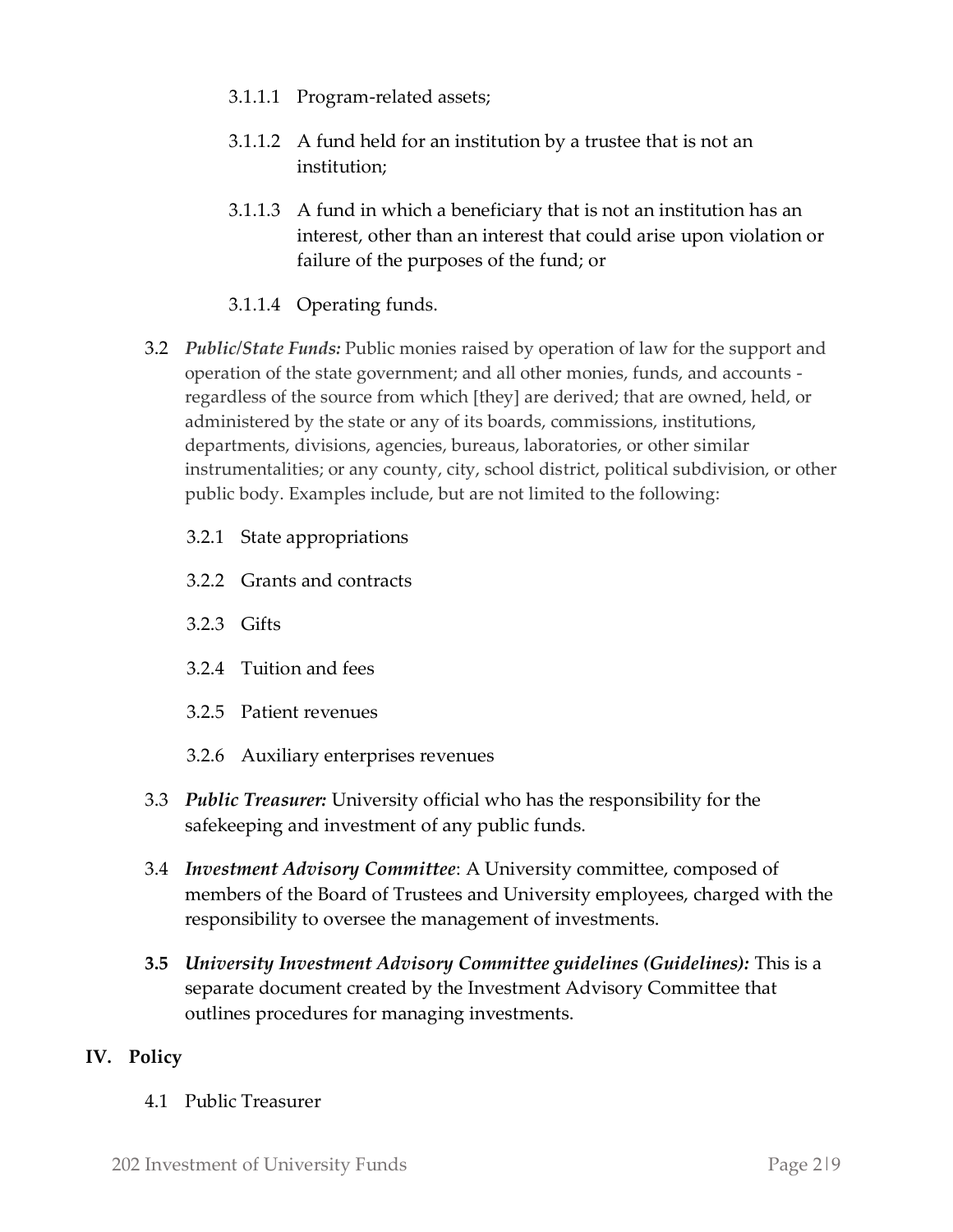- 3.1.1.1 Program-related assets;
- 3.1.1.2 A fund held for an institution by a trustee that is not an institution;
- 3.1.1.3 A fund in which a beneficiary that is not an institution has an interest, other than an interest that could arise upon violation or failure of the purposes of the fund; or
- 3.1.1.4 Operating funds.
- 3.2 *Public/State Funds:* Public monies raised by operation of law for the support and operation of the state government; and all other monies, funds, and accounts regardless of the source from which [they] are derived; that are owned, held, or administered by the state or any of its boards, commissions, institutions, departments, divisions, agencies, bureaus, laboratories, or other similar instrumentalities; or any county, city, school district, political subdivision, or other public body. Examples include, but are not limited to the following:
	- 3.2.1 State appropriations
	- 3.2.2 Grants and contracts
	- 3.2.3 Gifts
	- 3.2.4 Tuition and fees
	- 3.2.5 Patient revenues
	- 3.2.6 Auxiliary enterprises revenues
- 3.3 *Public Treasurer:* University official who has the responsibility for the safekeeping and investment of any public funds.
- 3.4 *Investment Advisory Committee*: A University committee, composed of members of the Board of Trustees and University employees, charged with the responsibility to oversee the management of investments.
- **3.5** *University Investment Advisory Committee guidelines (Guidelines):* This is a separate document created by the Investment Advisory Committee that outlines procedures for managing investments.

### **IV. Policy**

4.1 Public Treasurer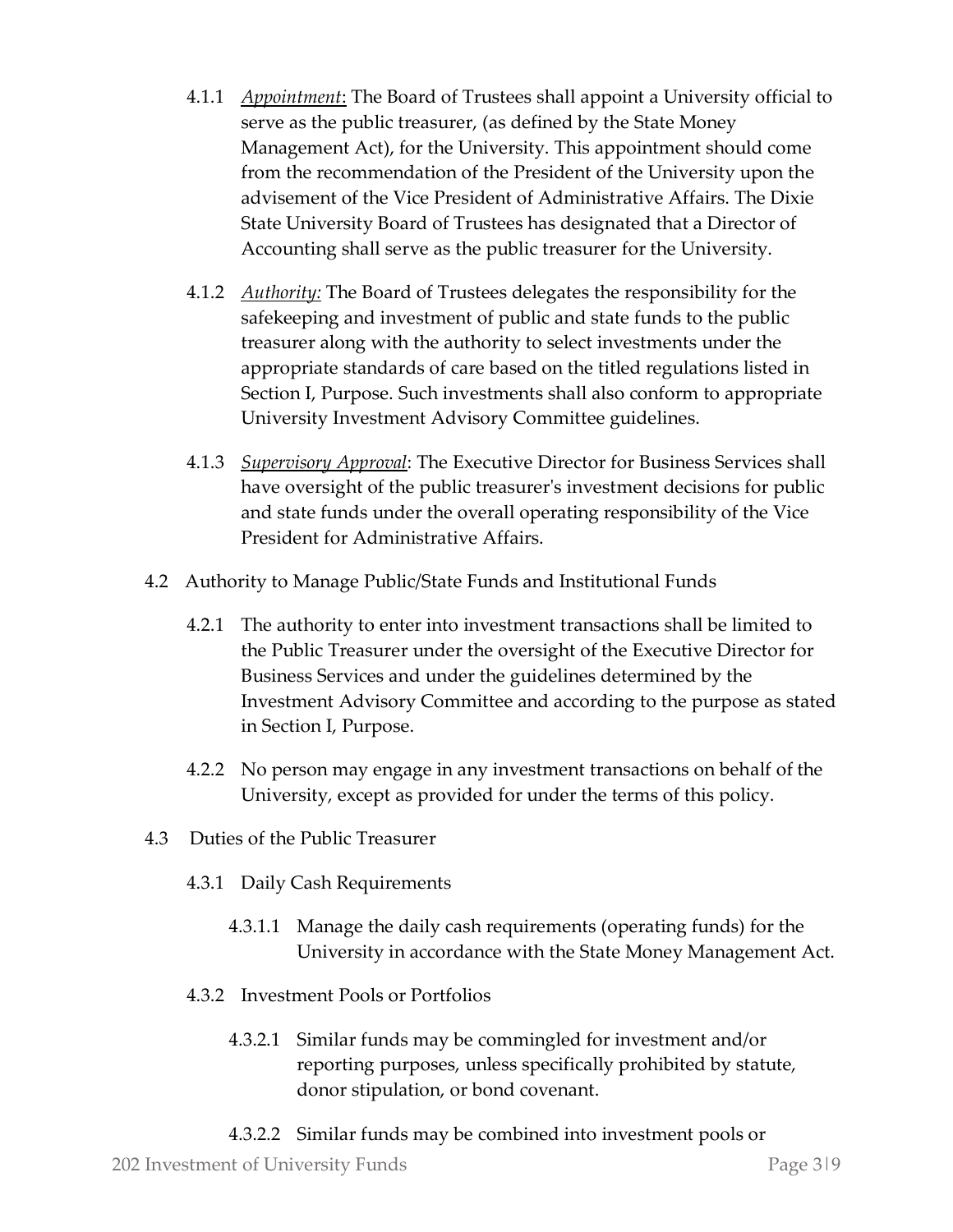- 4.1.1 *Appointment*: The Board of Trustees shall appoint a University official to serve as the public treasurer, (as defined by the State Money Management Act), for the University. This appointment should come from the recommendation of the President of the University upon the advisement of the Vice President of Administrative Affairs. The Dixie State University Board of Trustees has designated that a Director of Accounting shall serve as the public treasurer for the University.
- 4.1.2 *Authority:* The Board of Trustees delegates the responsibility for the safekeeping and investment of public and state funds to the public treasurer along with the authority to select investments under the appropriate standards of care based on the titled regulations listed in Section I, Purpose. Such investments shall also conform to appropriate University Investment Advisory Committee guidelines.
- 4.1.3 *Supervisory Approval*: The Executive Director for Business Services shall have oversight of the public treasurer's investment decisions for public and state funds under the overall operating responsibility of the Vice President for Administrative Affairs.
- 4.2 Authority to Manage Public/State Funds and Institutional Funds
	- 4.2.1 The authority to enter into investment transactions shall be limited to the Public Treasurer under the oversight of the Executive Director for Business Services and under the guidelines determined by the Investment Advisory Committee and according to the purpose as stated in Section I, Purpose.
	- 4.2.2 No person may engage in any investment transactions on behalf of the University, except as provided for under the terms of this policy.
- 4.3 Duties of the Public Treasurer
	- 4.3.1 Daily Cash Requirements
		- 4.3.1.1 Manage the daily cash requirements (operating funds) for the University in accordance with the State Money Management Act.
	- 4.3.2 Investment Pools or Portfolios
		- 4.3.2.1 Similar funds may be commingled for investment and/or reporting purposes, unless specifically prohibited by statute, donor stipulation, or bond covenant.
		- 4.3.2.2 Similar funds may be combined into investment pools or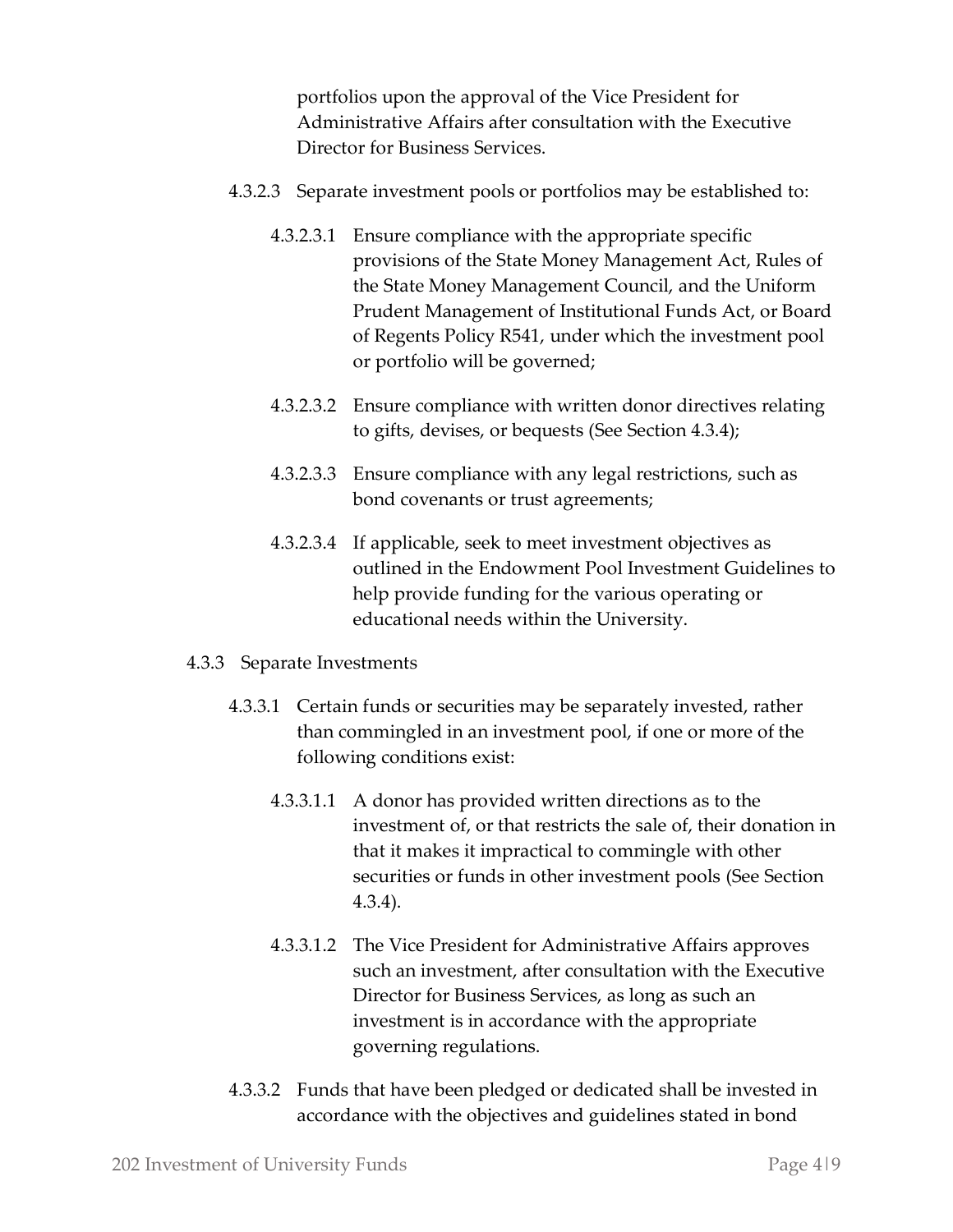portfolios upon the approval of the Vice President for Administrative Affairs after consultation with the Executive Director for Business Services.

- 4.3.2.3 Separate investment pools or portfolios may be established to:
	- 4.3.2.3.1 Ensure compliance with the appropriate specific provisions of the State Money Management Act, Rules of the State Money Management Council, and the Uniform Prudent Management of Institutional Funds Act, or Board of Regents Policy R541, under which the investment pool or portfolio will be governed;
	- 4.3.2.3.2 Ensure compliance with written donor directives relating to gifts, devises, or bequests (See Section 4.3.4);
	- 4.3.2.3.3 Ensure compliance with any legal restrictions, such as bond covenants or trust agreements;
	- 4.3.2.3.4 If applicable, seek to meet investment objectives as outlined in the Endowment Pool Investment Guidelines to help provide funding for the various operating or educational needs within the University.
- 4.3.3 Separate Investments
	- 4.3.3.1 Certain funds or securities may be separately invested, rather than commingled in an investment pool, if one or more of the following conditions exist:
		- 4.3.3.1.1 A donor has provided written directions as to the investment of, or that restricts the sale of, their donation in that it makes it impractical to commingle with other securities or funds in other investment pools (See Section 4.3.4).
		- 4.3.3.1.2 The Vice President for Administrative Affairs approves such an investment, after consultation with the Executive Director for Business Services, as long as such an investment is in accordance with the appropriate governing regulations.
	- 4.3.3.2 Funds that have been pledged or dedicated shall be invested in accordance with the objectives and guidelines stated in bond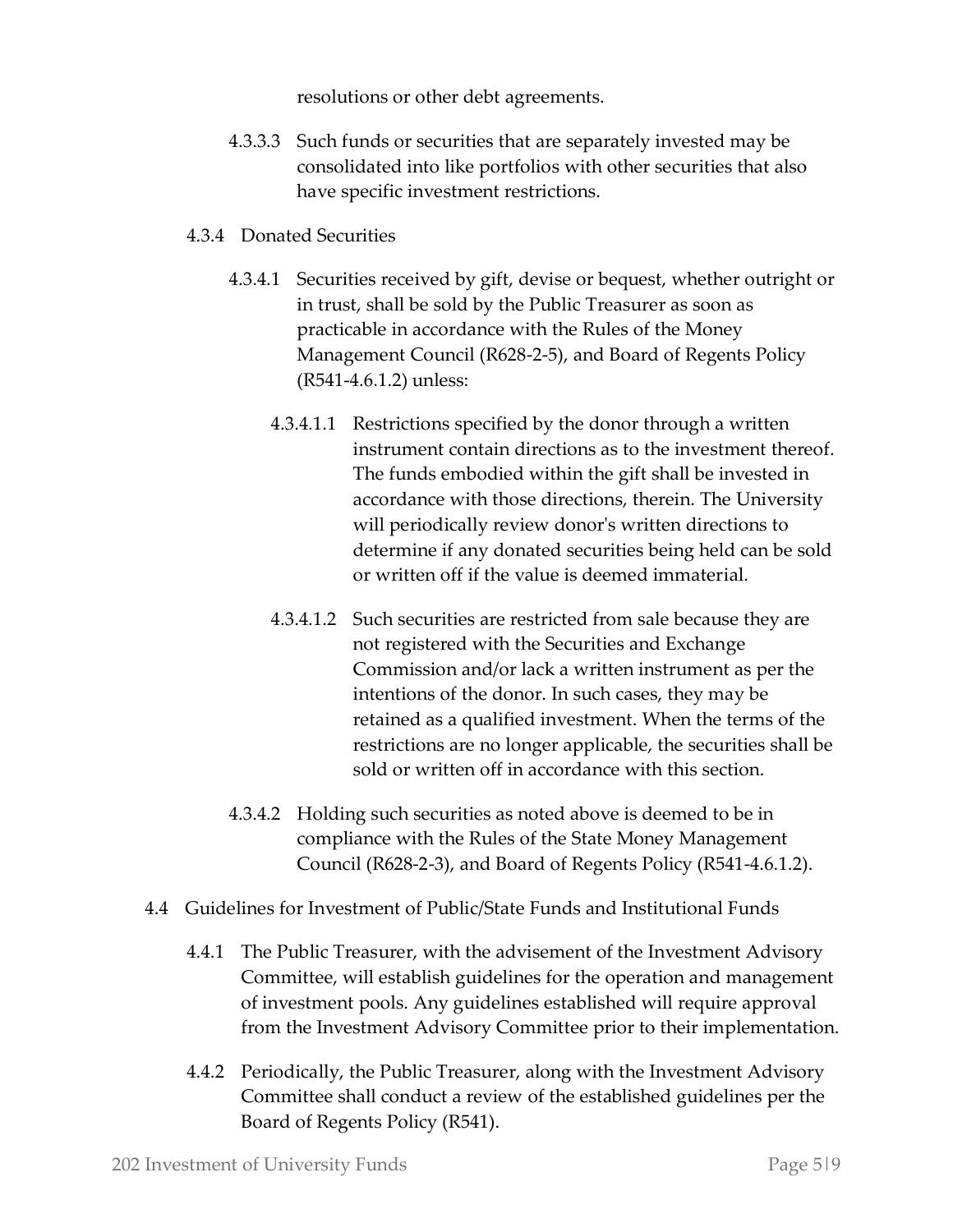resolutions or other debt agreements.

- 4.3.3.3 Such funds or securities that are separately invested may be consolidated into like portfolios with other securities that also have specific investment restrictions.
- 4.3.4 Donated Securities
	- 4.3.4.1 Securities received by gift, devise or bequest, whether outright or in trust, shall be sold by the Public Treasurer as soon as practicable in accordance with the Rules of the Money Management Council (R628-2-5), and Board of Regents Policy (R541-4.6.1.2) unless:
		- 4.3.4.1.1 Restrictions specified by the donor through a written instrument contain directions as to the investment thereof. The funds embodied within the gift shall be invested in accordance with those directions, therein. The University will periodically review donor's written directions to determine if any donated securities being held can be sold or written off if the value is deemed immaterial.
		- 4.3.4.1.2 Such securities are restricted from sale because they are not registered with the Securities and Exchange Commission and/or lack a written instrument as per the intentions of the donor. In such cases, they may be retained as a qualified investment. When the terms of the restrictions are no longer applicable, the securities shall be sold or written off in accordance with this section.
	- 4.3.4.2 Holding such securities as noted above is deemed to be in compliance with the Rules of the State Money Management Council (R628-2-3), and Board of Regents Policy (R541-4.6.1.2).
- 4.4 Guidelines for Investment of Public/State Funds and Institutional Funds
	- 4.4.1 The Public Treasurer, with the advisement of the Investment Advisory Committee, will establish guidelines for the operation and management of investment pools. Any guidelines established will require approval from the Investment Advisory Committee prior to their implementation.
	- 4.4.2 Periodically, the Public Treasurer, along with the Investment Advisory Committee shall conduct a review of the established guidelines per the Board of Regents Policy (R541).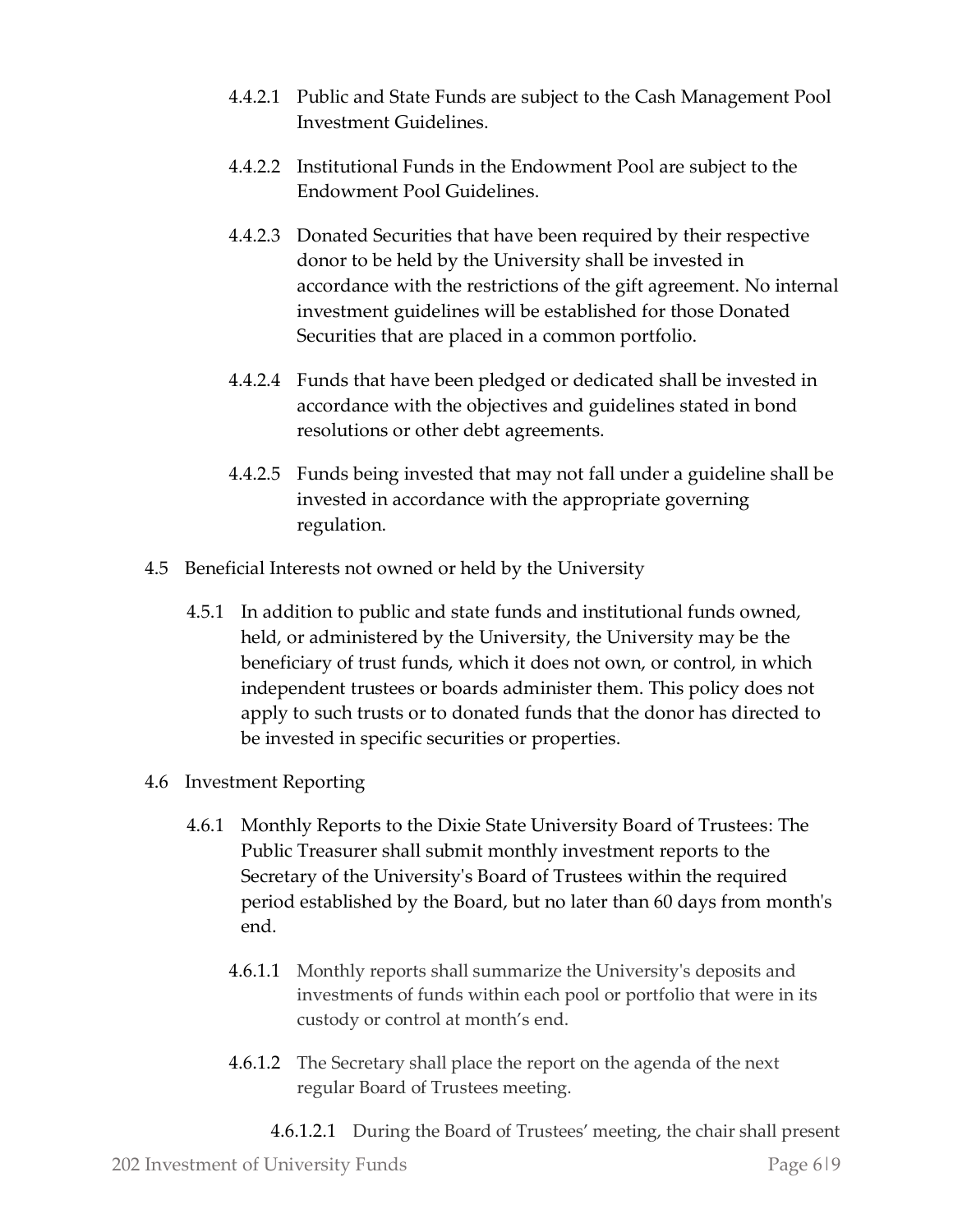- 4.4.2.1 Public and State Funds are subject to the Cash Management Pool Investment Guidelines.
- 4.4.2.2 Institutional Funds in the Endowment Pool are subject to the Endowment Pool Guidelines.
- 4.4.2.3 Donated Securities that have been required by their respective donor to be held by the University shall be invested in accordance with the restrictions of the gift agreement. No internal investment guidelines will be established for those Donated Securities that are placed in a common portfolio.
- 4.4.2.4 Funds that have been pledged or dedicated shall be invested in accordance with the objectives and guidelines stated in bond resolutions or other debt agreements.
- 4.4.2.5 Funds being invested that may not fall under a guideline shall be invested in accordance with the appropriate governing regulation.
- 4.5 Beneficial Interests not owned or held by the University
	- 4.5.1 In addition to public and state funds and institutional funds owned, held, or administered by the University, the University may be the beneficiary of trust funds, which it does not own, or control, in which independent trustees or boards administer them. This policy does not apply to such trusts or to donated funds that the donor has directed to be invested in specific securities or properties.
- 4.6 Investment Reporting
	- 4.6.1 Monthly Reports to the Dixie State University Board of Trustees: The Public Treasurer shall submit monthly investment reports to the Secretary of the University's Board of Trustees within the required period established by the Board, but no later than 60 days from month's end.
		- 4.6.1.1 Monthly reports shall summarize the University's deposits and investments of funds within each pool or portfolio that were in its custody or control at month's end.
		- 4.6.1.2 The Secretary shall place the report on the agenda of the next regular Board of Trustees meeting.
			- 4.6.1.2.1 During the Board of Trustees' meeting, the chair shall present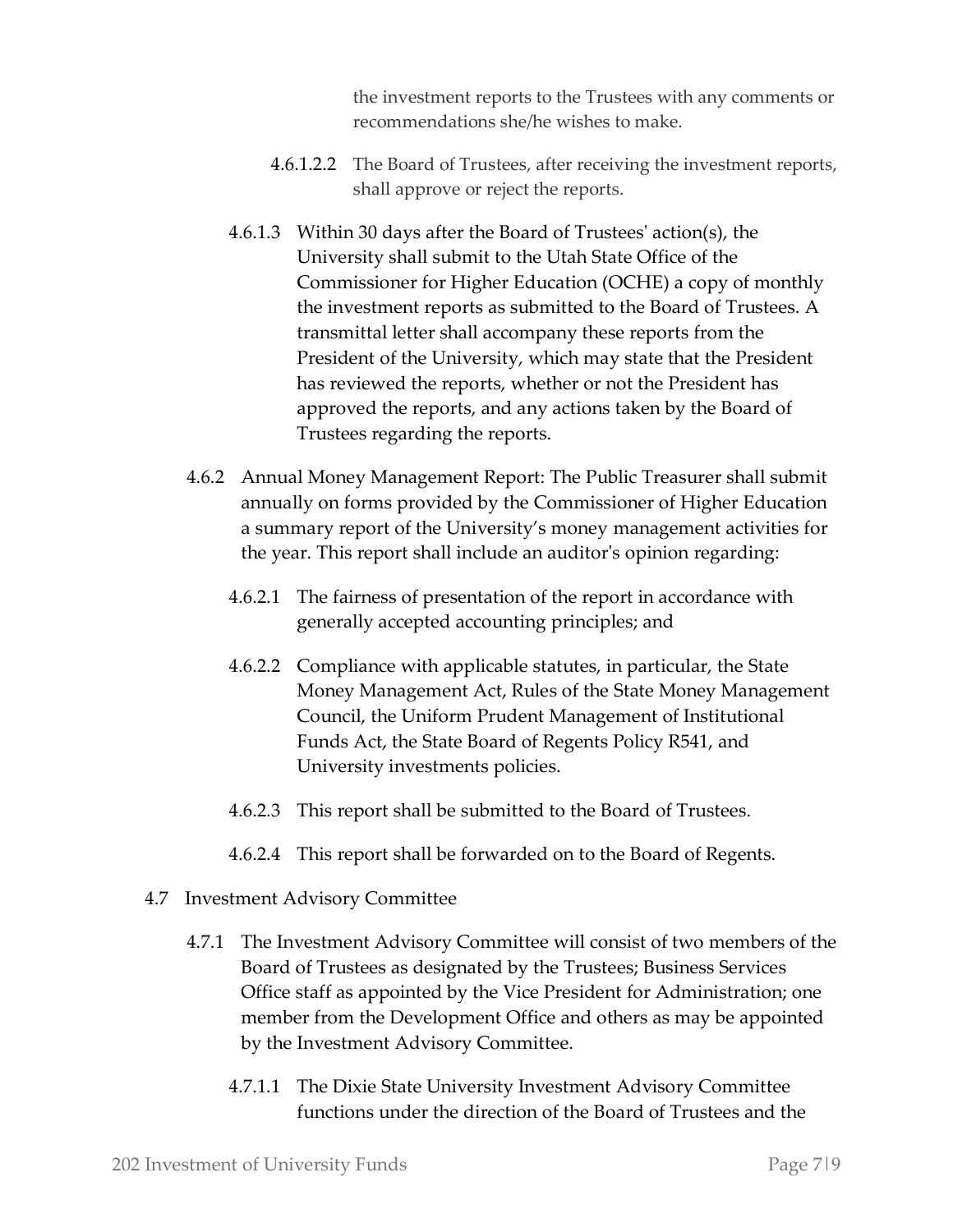the investment reports to the Trustees with any comments or recommendations she/he wishes to make.

- 4.6.1.2.2 The Board of Trustees, after receiving the investment reports, shall approve or reject the reports.
- 4.6.1.3 Within 30 days after the Board of Trustees' action(s), the University shall submit to the Utah State Office of the Commissioner for Higher Education (OCHE) a copy of monthly the investment reports as submitted to the Board of Trustees. A transmittal letter shall accompany these reports from the President of the University, which may state that the President has reviewed the reports, whether or not the President has approved the reports, and any actions taken by the Board of Trustees regarding the reports.
- 4.6.2 Annual Money Management Report: The Public Treasurer shall submit annually on forms provided by the Commissioner of Higher Education a summary report of the University's money management activities for the year. This report shall include an auditor's opinion regarding:
	- 4.6.2.1 The fairness of presentation of the report in accordance with generally accepted accounting principles; and
	- 4.6.2.2 Compliance with applicable statutes, in particular, the State Money Management Act, Rules of the State Money Management Council, the Uniform Prudent Management of Institutional Funds Act, the State Board of Regents Policy R541, and University investments policies.
	- 4.6.2.3 This report shall be submitted to the Board of Trustees.
	- 4.6.2.4 This report shall be forwarded on to the Board of Regents.
- 4.7 Investment Advisory Committee
	- 4.7.1 The Investment Advisory Committee will consist of two members of the Board of Trustees as designated by the Trustees; Business Services Office staff as appointed by the Vice President for Administration; one member from the Development Office and others as may be appointed by the Investment Advisory Committee.
		- 4.7.1.1 The Dixie State University Investment Advisory Committee functions under the direction of the Board of Trustees and the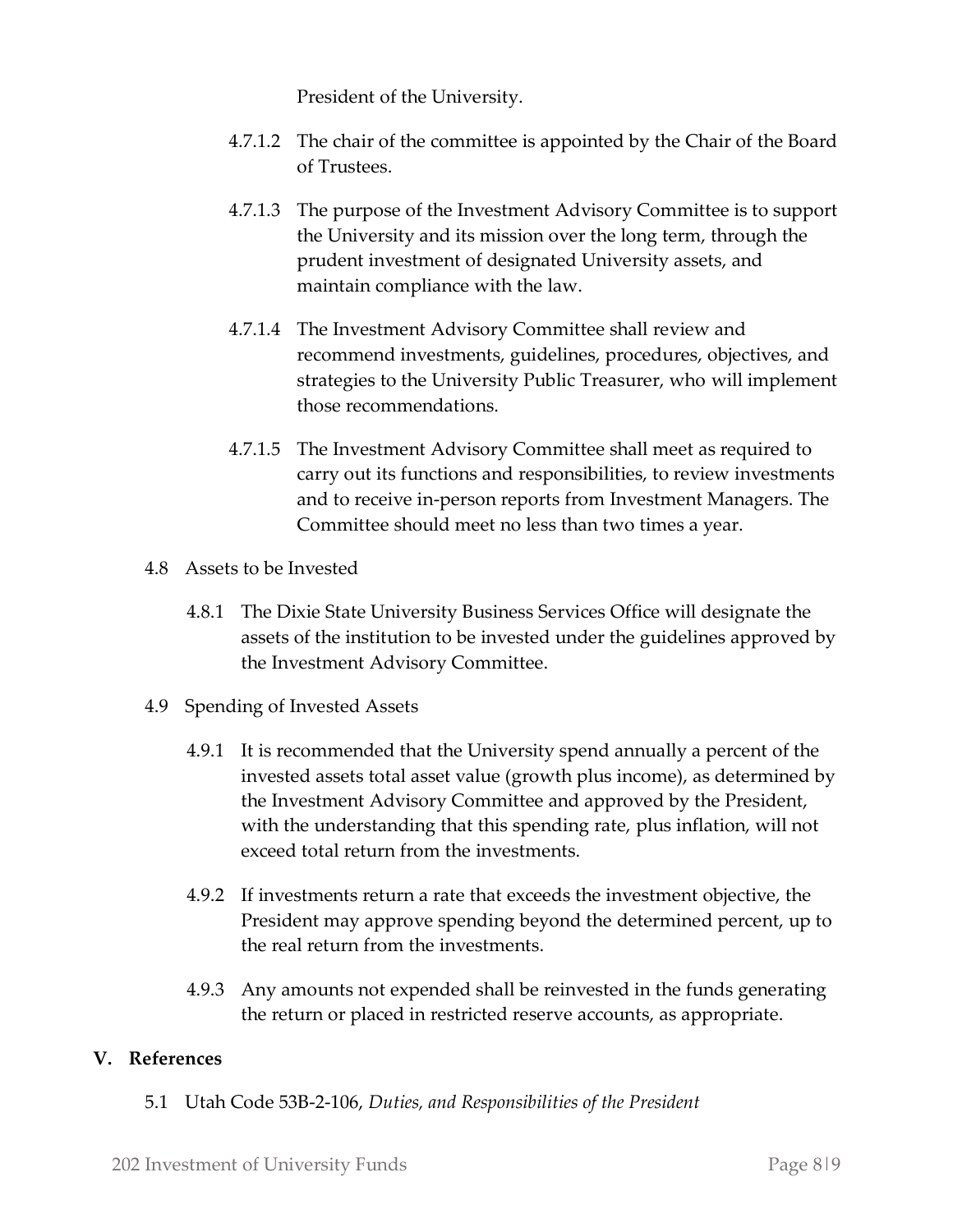President of the University.

- 4.7.1.2 The chair of the committee is appointed by the Chair of the Board of Trustees.
- 4.7.1.3 The purpose of the Investment Advisory Committee is to support the University and its mission over the long term, through the prudent investment of designated University assets, and maintain compliance with the law.
- 4.7.1.4 The Investment Advisory Committee shall review and recommend investments, guidelines, procedures, objectives, and strategies to the University Public Treasurer, who will implement those recommendations.
- 4.7.1.5 The Investment Advisory Committee shall meet as required to carry out its functions and responsibilities, to review investments and to receive in-person reports from Investment Managers. The Committee should meet no less than two times a year.
- 4.8 Assets to be Invested
	- 4.8.1 The Dixie State University Business Services Office will designate the assets of the institution to be invested under the guidelines approved by the Investment Advisory Committee.
- 4.9 Spending of Invested Assets
	- 4.9.1 It is recommended that the University spend annually a percent of the invested assets total asset value (growth plus income), as determined by the Investment Advisory Committee and approved by the President, with the understanding that this spending rate, plus inflation, will not exceed total return from the investments.
	- 4.9.2 If investments return a rate that exceeds the investment objective, the President may approve spending beyond the determined percent, up to the real return from the investments.
	- 4.9.3 Any amounts not expended shall be reinvested in the funds generating the return or placed in restricted reserve accounts, as appropriate.

## **V. References**

5.1 Utah Code 53B-2-106, *Duties, and Responsibilities of the President*